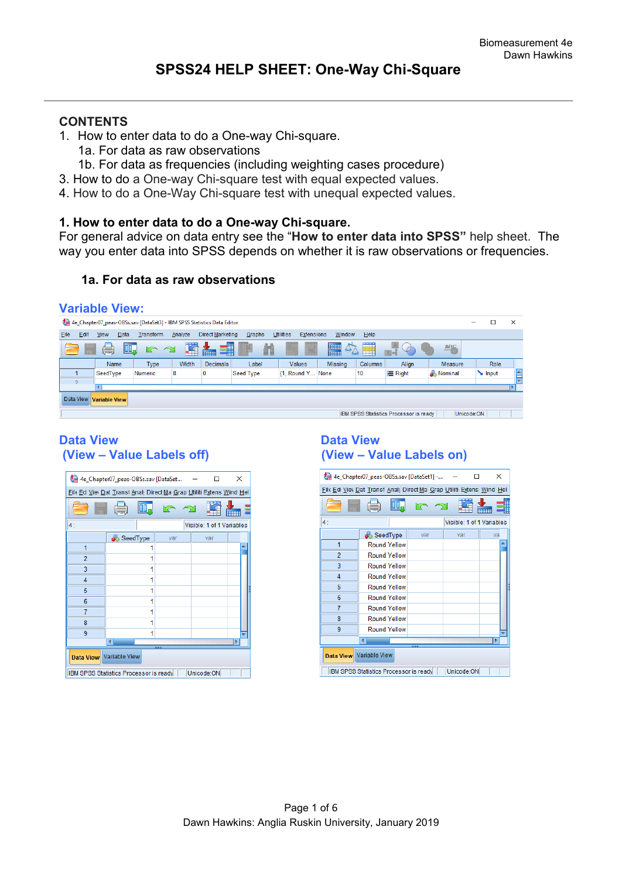# **CONTENTS**

- 1. How to enter data to do a One-way Chi-square.
	- 1a. For data as raw observations
	- 1b. For data as frequencies (including weighting cases procedure)
- 3. How to do a One-way Chi-square test with equal expected values.
- 4. How to do a One-Way Chi-square test with unequal expected values.

### **1. How to enter data to do a One-way Chi-square.**

For general advice on data entry see the "**How to enter data into SPSS"** help sheet. The way you enter data into SPSS depends on whether it is raw observations or frequencies.

### **1a. For data as raw observations**

#### **Variable View:**

|          |                                                      |             |      | 4e_Chapter07_peas-OBSs.sav [DataSet3] - IBM SPSS Statistics Data Editor |         |                  |           |                                |                   |             |               |                  | -           | $\times$ |
|----------|------------------------------------------------------|-------------|------|-------------------------------------------------------------------------|---------|------------------|-----------|--------------------------------|-------------------|-------------|---------------|------------------|-------------|----------|
| File     | Edit                                                 | <b>View</b> | Data | Transform                                                               | Analyze | Direct Marketing | Graphs    | <b>Utilities</b><br>Extensions | Window            | Help        |               |                  |             |          |
|          |                                                      | ۳           | Щ.   | $\sum$<br>$\trianglelefteq$                                             |         | ■<br>mm          | m         |                                | E<br>$\triangleq$ | <b>TARK</b> | $\mathcal{O}$ | <b>ABC</b>       |             |          |
|          |                                                      | Name        |      | Type                                                                    | Width   | Decimals         | Label     | Values                         | <b>Missing</b>    | Columns     | Align         | <b>Measure</b>   | <b>Role</b> |          |
|          |                                                      | SeedType    |      | Numeric                                                                 | 8       | 0                | Seed Type | {1, Round Y None               |                   | 10          | = Right       | <b>A</b> Nominal | Input       | ᅀ<br>═   |
| $\Omega$ |                                                      |             |      |                                                                         |         |                  |           |                                |                   |             |               |                  |             |          |
|          |                                                      |             |      |                                                                         |         |                  |           |                                |                   |             |               |                  |             |          |
|          | Data View<br><b>Variable View</b>                    |             |      |                                                                         |         |                  |           |                                |                   |             |               |                  |             |          |
|          | IBM SPSS Statistics Processor is ready<br>Unicode:ON |             |      |                                                                         |         |                  |           |                                |                   |             |               |                  |             |          |

# **(View – Value Labels off) (View – Value Labels on)**

| 4e_Chapter07_peas-OBSs.sav [DataSet<br>×<br>п |                                                                      |     |  |                           |  |  |  |
|-----------------------------------------------|----------------------------------------------------------------------|-----|--|---------------------------|--|--|--|
|                                               | File Ed Vier Dat Transt Analy Direct Ma Grap Utiliti Extens Wind Hel |     |  |                           |  |  |  |
|                                               |                                                                      |     |  |                           |  |  |  |
| 4:                                            |                                                                      |     |  | Visible: 1 of 1 Variables |  |  |  |
|                                               | SeedType                                                             | var |  | var                       |  |  |  |
| 1                                             |                                                                      |     |  |                           |  |  |  |
| $\overline{2}$                                | 1                                                                    |     |  |                           |  |  |  |
| 3                                             | 1                                                                    |     |  |                           |  |  |  |
| 4                                             | 1                                                                    |     |  |                           |  |  |  |
| 5                                             | 1                                                                    |     |  |                           |  |  |  |
| 6                                             | 1                                                                    |     |  |                           |  |  |  |
| 7                                             | 1                                                                    |     |  |                           |  |  |  |
| 8                                             |                                                                      |     |  |                           |  |  |  |
| 9                                             |                                                                      |     |  |                           |  |  |  |
|                                               |                                                                      |     |  |                           |  |  |  |
| Data View Variable View                       |                                                                      |     |  |                           |  |  |  |
|                                               | Unicode:ON<br>IBM SPSS Statistics Processor is ready                 |     |  |                           |  |  |  |

# Data View<br>
(View – Value Labels off) **Data View**<br>
(View – Value Labels off)

|                         | 4e_Chapter07_peas-OBSs.sav [DataSet1] -                                |     |                           | ×  |  |
|-------------------------|------------------------------------------------------------------------|-----|---------------------------|----|--|
|                         | File Edi Viev Dat Transf Analy Direct Ma Grap Utiliti Extensi Wind Hel |     |                           |    |  |
|                         | OO.                                                                    | r 2 |                           |    |  |
| 4:                      |                                                                        |     | Visible: 1 of 1 Variables |    |  |
|                         | SeedType                                                               | var | var                       | va |  |
| 1                       | <b>Round Yellow</b>                                                    |     |                           |    |  |
| $\overline{2}$          | <b>Round Yellow</b>                                                    |     |                           |    |  |
| 3                       | Round Yellow                                                           |     |                           |    |  |
| 4                       | Round Yellow                                                           |     |                           |    |  |
| 5                       | <b>Round Yellow</b>                                                    |     |                           |    |  |
| 6                       | <b>Round Yellow</b>                                                    |     |                           |    |  |
| 7                       | <b>Round Yellow</b>                                                    |     |                           |    |  |
| 8                       | <b>Round Yellow</b>                                                    |     |                           |    |  |
| 9                       | <b>Round Yellow</b>                                                    |     |                           |    |  |
| b                       |                                                                        |     |                           |    |  |
| Data View Variable View |                                                                        |     |                           |    |  |
|                         | IBM SPSS Statistics Processor is ready                                 |     | Unicode:ON                |    |  |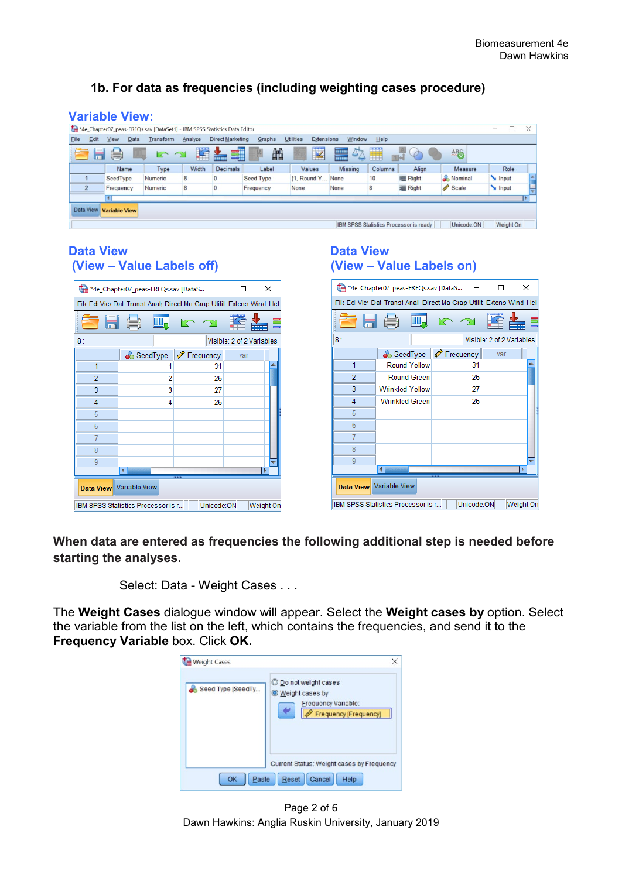# **1b. For data as frequencies (including weighting cases procedure)**

|             | <b>Variable View:</b>                                             |                                                                           |           |         |                         |           |                                       |                |         |                |         |                   |          |
|-------------|-------------------------------------------------------------------|---------------------------------------------------------------------------|-----------|---------|-------------------------|-----------|---------------------------------------|----------------|---------|----------------|---------|-------------------|----------|
|             |                                                                   | *4e_Chapter07_peas-FREQs.sav [DataSet1] - IBM SPSS Statistics Data Editor |           |         |                         |           |                                       |                |         |                |         | $\hspace{0.05cm}$ | $\times$ |
| <b>Eile</b> | Edit                                                              | Data<br>View                                                              | Transform | Analyze | <b>Direct Marketing</b> | Graphs    | <b>Utilities</b><br><b>Extensions</b> | Window         | Help    |                |         |                   |          |
|             | Н                                                                 | ٥                                                                         |           | 犟       | 1<br>m.                 | 飴         | $\overline{\mathbf{z}}$               | H<br>$\Delta$  | Ä       | $\mathcal{O}$  | ABS     |                   |          |
|             |                                                                   | Name                                                                      | Type      | Width   | <b>Decimals</b>         | Label     | Values                                | <b>Missing</b> | Columns | Align          | Measure | Role              |          |
|             |                                                                   | SeedType                                                                  | Numeric   | 8       |                         | Seed Type | {1, Round Y.                          | None           | 10      | <b>星 Right</b> | Nominal | Input             |          |
|             | $\overline{2}$                                                    | Frequency                                                                 | Numeric   | 8       |                         | Frequency | None                                  | None           | 8       | <b>三 Right</b> | Scale   | Input             |          |
|             | l۴<br>$\blacktriangleleft$                                        |                                                                           |           |         |                         |           |                                       |                |         |                |         |                   |          |
|             | Data View Variable View                                           |                                                                           |           |         |                         |           |                                       |                |         |                |         |                   |          |
|             | Weight On<br>IBM SPSS Statistics Processor is ready<br>Unicode:ON |                                                                           |           |         |                         |           |                                       |                |         |                |         |                   |          |

# **Data View Data View (View – Value Labels off) (View – Value Labels on)**

| *4e_Chapter07_peas-FREQs.sav [DataS<br>× |                                                                      |             |                           |  |  |  |
|------------------------------------------|----------------------------------------------------------------------|-------------|---------------------------|--|--|--|
|                                          | File Ed View Dat Transt Analy Direct Ma Grap Utiliti Extens Wind Hel |             |                           |  |  |  |
|                                          | 日 負                                                                  |             | ======                    |  |  |  |
| 8 :                                      |                                                                      |             | Visible: 2 of 2 Variables |  |  |  |
|                                          | SeedType                                                             | ∜ Frequency | var                       |  |  |  |
| 1                                        |                                                                      | 31          |                           |  |  |  |
| $\overline{2}$                           | 2                                                                    | 26          |                           |  |  |  |
| 3                                        | 3                                                                    | 27          |                           |  |  |  |
| 4                                        | 4                                                                    | 26          |                           |  |  |  |
| 5                                        |                                                                      |             |                           |  |  |  |
| 6                                        |                                                                      |             |                           |  |  |  |
| 7                                        |                                                                      |             |                           |  |  |  |
| 8                                        |                                                                      |             |                           |  |  |  |
| 9                                        |                                                                      |             |                           |  |  |  |
| ٠                                        |                                                                      |             |                           |  |  |  |
| Variable View<br>Data View               |                                                                      |             |                           |  |  |  |
|                                          | Unicode:ON<br>IBM SPSS Statistics Processor is r<br>Weight On        |             |                           |  |  |  |

| *4e_Chapter07_peas-FREQs.sav [DataS<br>× |                                                                      |           |                           |  |  |  |
|------------------------------------------|----------------------------------------------------------------------|-----------|---------------------------|--|--|--|
|                                          | File Ed View Dat Transt Analy Direct Ma Grap Utiliti Extens Wind Hel |           |                           |  |  |  |
|                                          | 1月 (号)<br>DD.                                                        |           |                           |  |  |  |
| 8:                                       |                                                                      |           | Visible: 2 of 2 Variables |  |  |  |
|                                          | SeedType                                                             | Frequency | var                       |  |  |  |
| 1                                        | <b>Round Yellow</b>                                                  | 31        |                           |  |  |  |
| $\overline{2}$                           | <b>Round Green</b>                                                   | 26        |                           |  |  |  |
| 3                                        | <b>Wrinkled Yellow</b>                                               | 27        |                           |  |  |  |
| 4                                        | <b>Wrinkled Green</b>                                                | 26        |                           |  |  |  |
| 5                                        |                                                                      |           |                           |  |  |  |
| 6                                        |                                                                      |           |                           |  |  |  |
| 7                                        |                                                                      |           |                           |  |  |  |
| 8                                        |                                                                      |           |                           |  |  |  |
| 9                                        |                                                                      |           |                           |  |  |  |
|                                          |                                                                      |           |                           |  |  |  |
| Data View Variable View                  |                                                                      |           |                           |  |  |  |
|                                          | Unicode:ON<br>Weight On<br>IBM SPSS Statistics Processor is r        |           |                           |  |  |  |

**When data are entered as frequencies the following additional step is needed before starting the analyses.** 

Select: Data - Weight Cases . . .

The **Weight Cases** dialogue window will appear. Select the **Weight cases by** option. Select the variable from the list on the left, which contains the frequencies, and send it to the **Frequency Variable** box. Click **OK.**



Page 2 of 6 Dawn Hawkins: Anglia Ruskin University, January 2019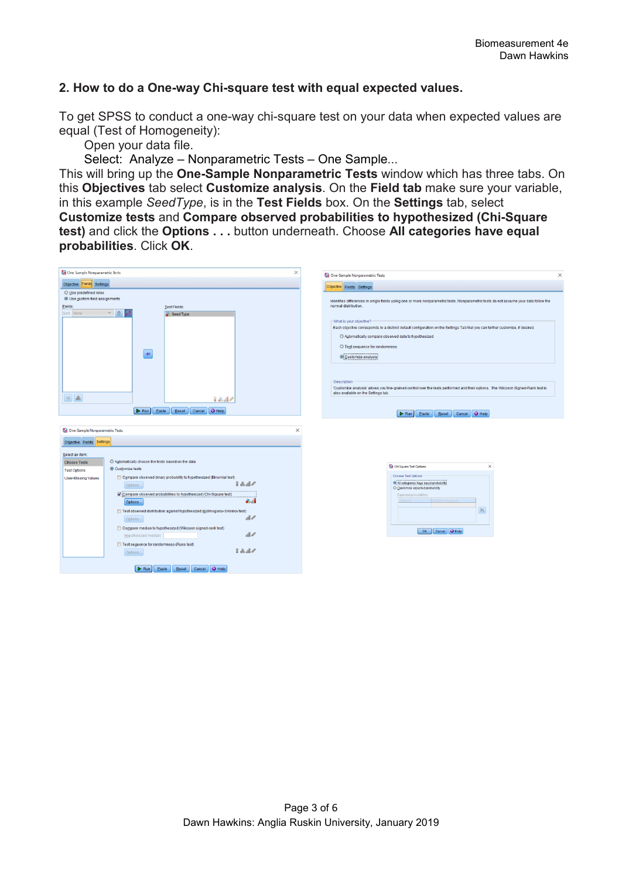# **2. How to do a One-way Chi-square test with equal expected values.**

To get SPSS to conduct a one-way chi-square test on your data when expected values are equal (Test of Homogeneity):

Open your data file.

Select: Analyze – Nonparametric Tests – One Sample*...*

This will bring up the **One-Sample Nonparametric Tests** window which has three tabs. On this **Objectives** tab select **Customize analysis**. On the **Field tab** make sure your variable, in this example *SeedType*, is in the **Test Fields** box. On the **Settings** tab, select

**Customize tests** and **Compare observed probabilities to hypothesized (Chi-Square test)** and click the **Options . . .** button underneath. Choose **All categories have equal probabilities**. Click **OK**.

| One-Sample Nonparametric Tests                                                                                                                                                                                                                                                                                                                                                                                                                                                                                                                                                                                                                | ×<br>One-Sample Nonparametric Tests<br>$\times$                                                                                                                                                                                                                                                                                                                                                                                                                          |
|-----------------------------------------------------------------------------------------------------------------------------------------------------------------------------------------------------------------------------------------------------------------------------------------------------------------------------------------------------------------------------------------------------------------------------------------------------------------------------------------------------------------------------------------------------------------------------------------------------------------------------------------------|--------------------------------------------------------------------------------------------------------------------------------------------------------------------------------------------------------------------------------------------------------------------------------------------------------------------------------------------------------------------------------------------------------------------------------------------------------------------------|
| Objective Fields Settings                                                                                                                                                                                                                                                                                                                                                                                                                                                                                                                                                                                                                     |                                                                                                                                                                                                                                                                                                                                                                                                                                                                          |
| O Use predefined roles<br>O Use custom field assignments<br>Fields:<br>Test Fields:<br>Sort None<br>Seed Type<br>$\bullet$                                                                                                                                                                                                                                                                                                                                                                                                                                                                                                                    | Objective Fields Settings<br>Identifies differences in single fields using one or more nonparametric tests. Nonparametric tests do not assume your data follow the<br>normal distribution.<br>What is your objective?<br>Each objective corresponds to a distinct default configuration on the Settings Tab that you can further customize, if desired.<br>C Automatically compare observed data to hypothesized<br>© Test sequence for randomness<br>Customize analysis |
| $\begin{picture}(20,5) \put(0,0){\line(1,0){155}} \put(15,0){\line(1,0){155}} \put(15,0){\line(1,0){155}} \put(15,0){\line(1,0){155}} \put(15,0){\line(1,0){155}} \put(15,0){\line(1,0){155}} \put(15,0){\line(1,0){155}} \put(15,0){\line(1,0){155}} \put(15,0){\line(1,0){155}} \put(15,0){\line(1,0){155}} \put(15,0){\line(1,0){155}} \put$<br>$88 - 10$<br>Cancel O Help<br>$\triangleright$ Run<br>Paste<br>Reset                                                                                                                                                                                                                       | <b>Description</b><br>'Customize analysis' allows you fine-grained control over the tests performed and their options. The Wilcoxon Signed-Rank test is<br>also available on the Settings tab.<br>Reset Cancel O Help<br>$\triangleright$ Run<br>Paste                                                                                                                                                                                                                   |
| One-Sample Nonparametric Tests<br>Objective Fields Settings                                                                                                                                                                                                                                                                                                                                                                                                                                                                                                                                                                                   | $\times$                                                                                                                                                                                                                                                                                                                                                                                                                                                                 |
| Select an item:<br>C Automatically choose the tests based on the data<br><b>Choose Tests</b><br>© Customize tests<br><b>Test Options</b><br>Compare observed binary probability to hypothesized (Binomial test)<br><b>User-Missing Values</b><br>2あまイ<br>Options<br>Compare observed probabilities to hypothesized (Chi-Square test)<br><b>Sal</b><br>Options<br>Test observed distribution against hypothesized (Kolmogorov-Smirnov test)<br>$\mathbb{R}^d$<br>Options<br>Compare median to hypothesized (Wilcoxon signed-rank test)<br>$\mathbb{R}$<br>Hypothesized median:<br>Test seguence for randomness (Runs test)<br>2 品目/<br>Options | Chi Square Test Options<br>$\times$<br>Choose Test Options<br>Ci All categories have equal probability<br>C Customize expected probability<br>Expected probabilities:<br>Ralative Frequency<br>$\times$<br>Cancel O Help<br>OK                                                                                                                                                                                                                                           |
| Cancel <b>O</b> Help<br>$\triangleright$ Run<br>Paste<br>Reset                                                                                                                                                                                                                                                                                                                                                                                                                                                                                                                                                                                |                                                                                                                                                                                                                                                                                                                                                                                                                                                                          |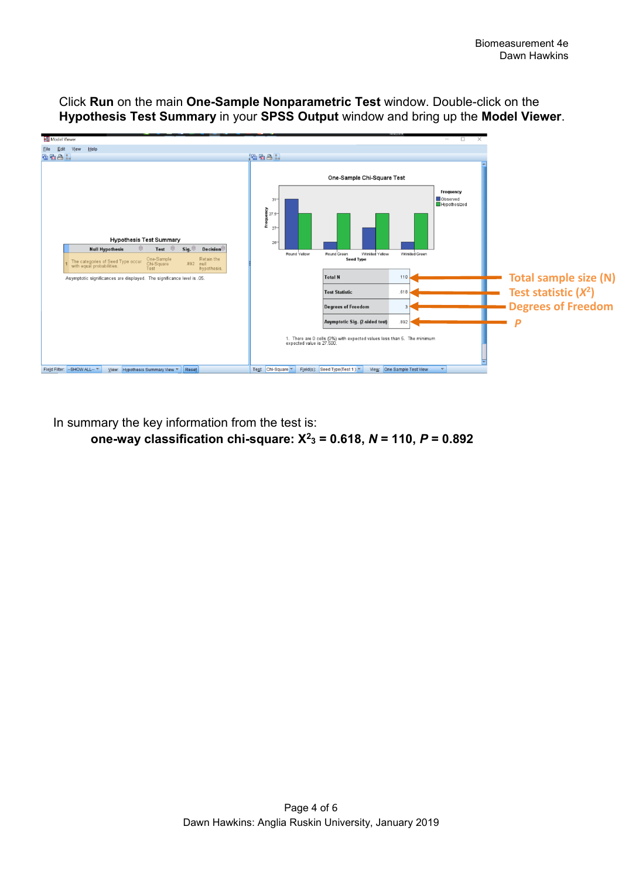

Click **Run** on the main **One-Sample Nonparametric Test** window. Double-click on the **Hypothesis Test Summary** in your **SPSS Output** window and bring up the **Model Viewer**.

In summary the key information from the test is:  **one-way classification chi-square: X2 <sup>3</sup> = 0.618,** *N* **= 110,** *P* **= 0.892**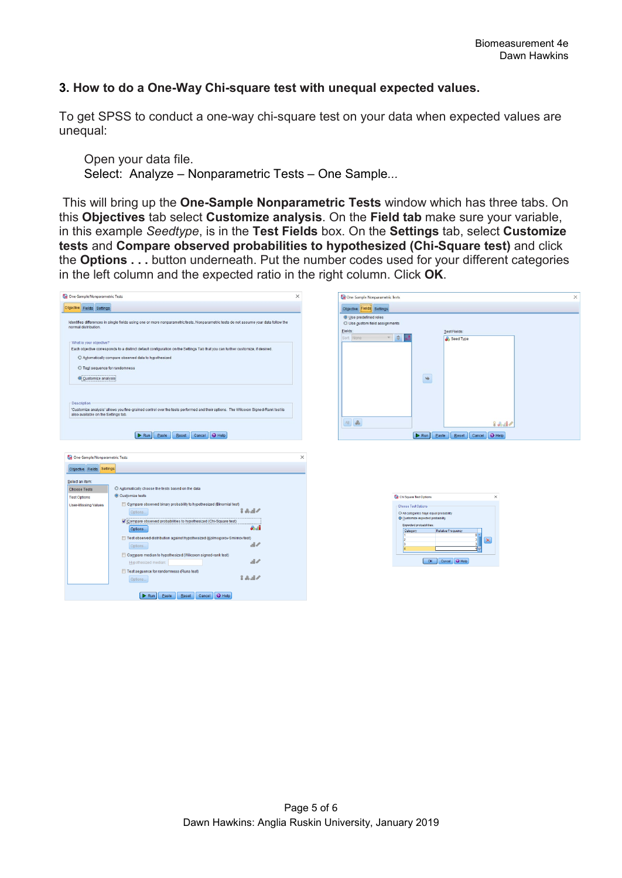## **3. How to do a One-Way Chi-square test with unequal expected values.**

To get SPSS to conduct a one-way chi-square test on your data when expected values are unequal:

Open your data file. Select: Analyze – Nonparametric Tests – One Sample*...*

This will bring up the **One-Sample Nonparametric Tests** window which has three tabs. On this **Objectives** tab select **Customize analysis**. On the **Field tab** make sure your variable, in this example *Seedtype*, is in the **Test Fields** box. On the **Settings** tab, select **Customize tests** and **Compare observed probabilities to hypothesized (Chi-Square test)** and click the **Options . . .** button underneath. Put the number codes used for your different categories in the left column and the expected ratio in the right column. Click **OK**.

| One-Sample Nonparametric Tests                                                                                                                                                                                                                                                                                                                                                                                                                                                                                                                                                                                                                                                                        | × | One-Sample Nonparametric Tests<br>$\times$                                                                                                                                                                                                                     |
|-------------------------------------------------------------------------------------------------------------------------------------------------------------------------------------------------------------------------------------------------------------------------------------------------------------------------------------------------------------------------------------------------------------------------------------------------------------------------------------------------------------------------------------------------------------------------------------------------------------------------------------------------------------------------------------------------------|---|----------------------------------------------------------------------------------------------------------------------------------------------------------------------------------------------------------------------------------------------------------------|
| Objective Fields Settings                                                                                                                                                                                                                                                                                                                                                                                                                                                                                                                                                                                                                                                                             |   | Objective Fields Settings                                                                                                                                                                                                                                      |
| Identifies differences in single fields using one or more nonparametric tests. Nonparametric tests do not assume your data follow the<br>normal distribution.<br>What is your objective?                                                                                                                                                                                                                                                                                                                                                                                                                                                                                                              |   | O Use predefined roles<br>O Use custom field assignments<br>Fields:<br>Test Fields:<br>$\Rightarrow$<br>Sort None<br>$\mathbf{v}$ .<br>Seed Type                                                                                                               |
| Each objective corresponds to a distinct default configuration on the Settings Tab that you can further customize, if desired.<br>C Automatically compare observed data to hypothesized<br>© Test sequence for randomness<br>Customize analysis                                                                                                                                                                                                                                                                                                                                                                                                                                                       |   | $\Rightarrow$                                                                                                                                                                                                                                                  |
| Description<br>'Customize analysis' allows you fine-grained control over the tests performed and their options. The Wilcoxon Signed-Rank test is<br>also available on the Settings tab.<br>Reset Cancel O Help<br>$\triangleright$ Run<br>Paste                                                                                                                                                                                                                                                                                                                                                                                                                                                       |   | All &<br>$88 - 14$<br>Cancel O Help<br>$\triangleright$ Run<br>Paste<br>Reset                                                                                                                                                                                  |
| One-Sample Nonparametric Tests<br>Objective Fields Settings<br>Select an item:<br>C Automatically choose the tests based on the data<br><b>Choose Tests</b><br>Customize tests<br><b>Test Options</b><br>Compare observed binary probability to hypothesized (Binomial test)<br><b>User-Missing Values</b><br>$22 - 12$<br>Options<br>Compare observed probabilities to hypothesized (Chi-Square test)<br>6d<br>Options<br>Test observed distribution against hypothesized (Kolmogorov-Smirnov test)<br>$\mathbb{R}$<br>Options<br>Compare median to hypothesized (Wilcoxon signed-rank test)<br>$\mathbb{R}$<br>Hypothesized median:<br>Test seguence for randomness (Runs test)<br>2 品図/<br>Options |   | $\times$<br>$\times$<br>Chi Square Test Options<br>Choose Test Options<br>O All categories have equal probability<br>Customize expected probability<br>Expected probabilities:<br>Category<br>Relative Frequency<br>Q<br>$\mathbf{\times}$<br>OK Cancel O Help |
| Cancel <b>O</b> Help<br>$\triangleright$ Run<br>Paste<br>Reset                                                                                                                                                                                                                                                                                                                                                                                                                                                                                                                                                                                                                                        |   |                                                                                                                                                                                                                                                                |